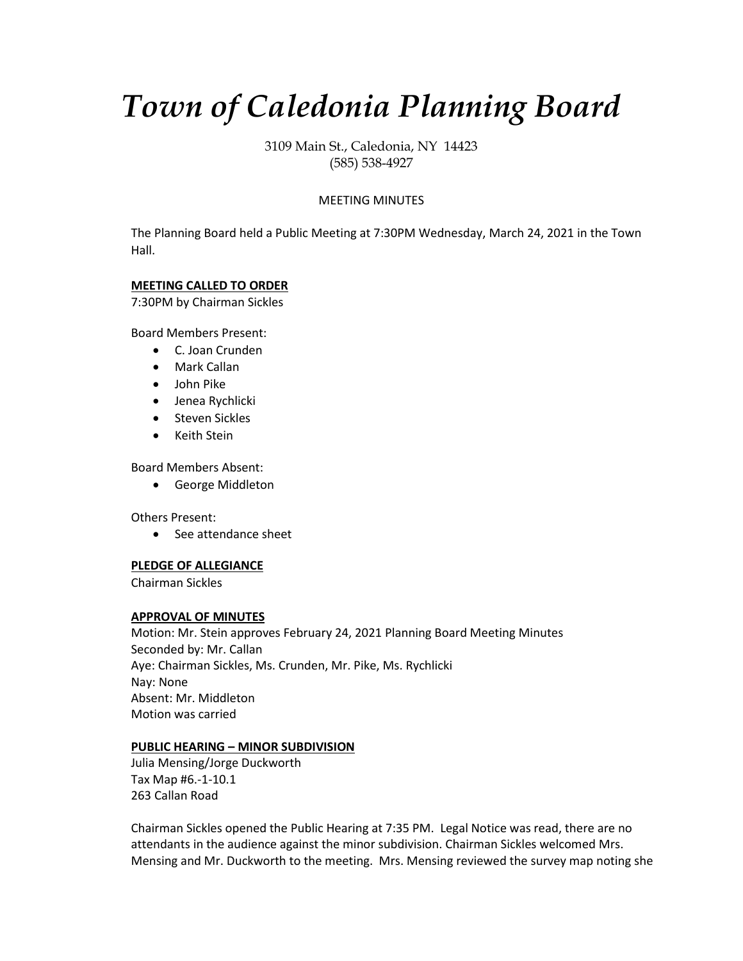# *Town of Caledonia Planning Board*

3109 Main St., Caledonia, NY 14423 (585) 538-4927

# MEETING MINUTES

The Planning Board held a Public Meeting at 7:30PM Wednesday, March 24, 2021 in the Town Hall.

# **MEETING CALLED TO ORDER**

7:30PM by Chairman Sickles

Board Members Present:

- C. Joan Crunden
- Mark Callan
- John Pike
- Jenea Rychlicki
- Steven Sickles
- Keith Stein

Board Members Absent:

• George Middleton

Others Present:

• See attendance sheet

# **PLEDGE OF ALLEGIANCE**

Chairman Sickles

## **APPROVAL OF MINUTES**

Motion: Mr. Stein approves February 24, 2021 Planning Board Meeting Minutes Seconded by: Mr. Callan Aye: Chairman Sickles, Ms. Crunden, Mr. Pike, Ms. Rychlicki Nay: None Absent: Mr. Middleton Motion was carried

## **PUBLIC HEARING – MINOR SUBDIVISION**

Julia Mensing/Jorge Duckworth Tax Map #6.-1-10.1 263 Callan Road

Chairman Sickles opened the Public Hearing at 7:35 PM. Legal Notice was read, there are no attendants in the audience against the minor subdivision. Chairman Sickles welcomed Mrs. Mensing and Mr. Duckworth to the meeting. Mrs. Mensing reviewed the survey map noting she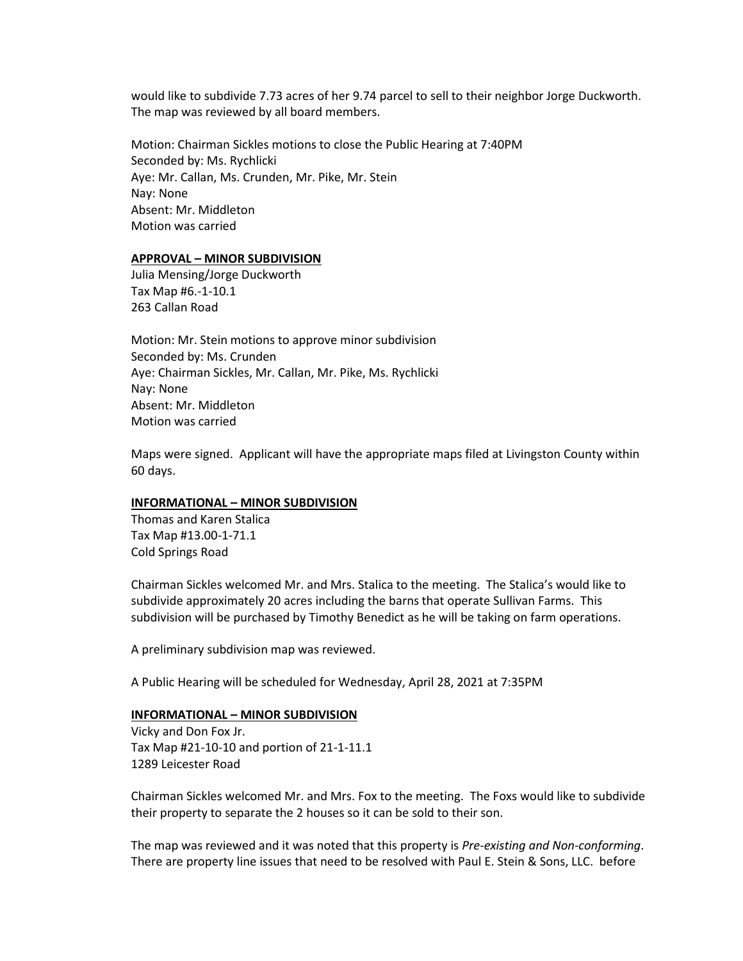would like to subdivide 7.73 acres of her 9.74 parcel to sell to their neighbor Jorge Duckworth. The map was reviewed by all board members.

Motion: Chairman Sickles motions to close the Public Hearing at 7:40PM Seconded by: Ms. Rychlicki Aye: Mr. Callan, Ms. Crunden, Mr. Pike, Mr. Stein Nay: None Absent: Mr. Middleton Motion was carried

#### **APPROVAL – MINOR SUBDIVISION**

Julia Mensing/Jorge Duckworth Tax Map #6.-1-10.1 263 Callan Road

Motion: Mr. Stein motions to approve minor subdivision Seconded by: Ms. Crunden Aye: Chairman Sickles, Mr. Callan, Mr. Pike, Ms. Rychlicki Nay: None Absent: Mr. Middleton Motion was carried

Maps were signed. Applicant will have the appropriate maps filed at Livingston County within 60 days.

# **INFORMATIONAL – MINOR SUBDIVISION**

Thomas and Karen Stalica Tax Map #13.00-1-71.1 Cold Springs Road

Chairman Sickles welcomed Mr. and Mrs. Stalica to the meeting. The Stalica's would like to subdivide approximately 20 acres including the barns that operate Sullivan Farms. This subdivision will be purchased by Timothy Benedict as he will be taking on farm operations.

A preliminary subdivision map was reviewed.

A Public Hearing will be scheduled for Wednesday, April 28, 2021 at 7:35PM

#### **INFORMATIONAL – MINOR SUBDIVISION**

Vicky and Don Fox Jr. Tax Map #21-10-10 and portion of 21-1-11.1 1289 Leicester Road

Chairman Sickles welcomed Mr. and Mrs. Fox to the meeting. The Foxs would like to subdivide their property to separate the 2 houses so it can be sold to their son.

The map was reviewed and it was noted that this property is *Pre-existing and Non-conforming*. There are property line issues that need to be resolved with Paul E. Stein & Sons, LLC. before